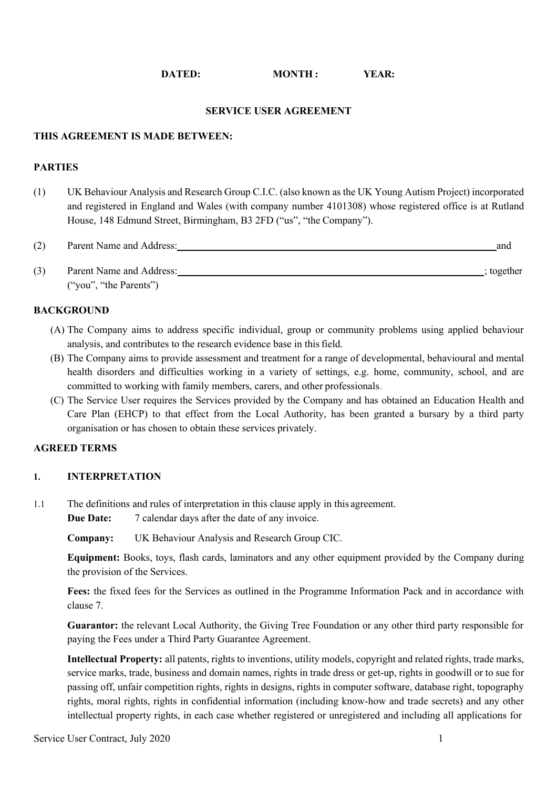# **DATED: MONTH: YEAR:**

#### **SERVICE USER AGREEMENT**

#### **THIS AGREEMENT IS MADE BETWEEN:**

## **PARTIES**

(1) UK Behaviour Analysis and Research Group C.I.C. (also known as the UK Young Autism Project) incorporated and registered in England and Wales (with company number 4101308) whose registered office is at Rutland House, 148 Edmund Street, Birmingham, B3 2FD ("us", "the Company").

| (2) | Parent Name and Address: | and      |
|-----|--------------------------|----------|
|     |                          |          |
| (3) | Parent Name and Address. | together |

(3) Parent Name and Address: **intervention and Address:**  $\frac{1}{2}$  is together ("you", "the Parents")

#### **BACKGROUND**

- (A) The Company aims to address specific individual, group or community problems using applied behaviour analysis, and contributes to the research evidence base in this field.
- (B) The Company aims to provide assessment and treatment for a range of developmental, behavioural and mental health disorders and difficulties working in a variety of settings, e.g. home, community, school, and are committed to working with family members, carers, and other professionals.
- (C) The Service User requires the Services provided by the Company and has obtained an Education Health and Care Plan (EHCP) to that effect from the Local Authority, has been granted a bursary by a third party organisation or has chosen to obtain these services privately.

### **AGREED TERMS**

#### **1. INTERPRETATION**

1.1 The definitions and rules of interpretation in this clause apply in this agreement.

**Due Date:** 7 calendar days after the date of any invoice.

**Company:** UK Behaviour Analysis and Research Group CIC.

**Equipment:** Books, toys, flash cards, laminators and any other equipment provided by the Company during the provision of the Services.

**Fees:** the fixed fees for the Services as outlined in the Programme Information Pack and in accordance with clause 7.

**Guarantor:** the relevant Local Authority, the Giving Tree Foundation or any other third party responsible for paying the Fees under a Third Party Guarantee Agreement.

**Intellectual Property:** all patents, rights to inventions, utility models, copyright and related rights, trade marks, service marks, trade, business and domain names, rights in trade dress or get-up, rights in goodwill or to sue for passing off, unfair competition rights, rights in designs, rights in computer software, database right, topography rights, moral rights, rights in confidential information (including know-how and trade secrets) and any other intellectual property rights, in each case whether registered or unregistered and including all applications for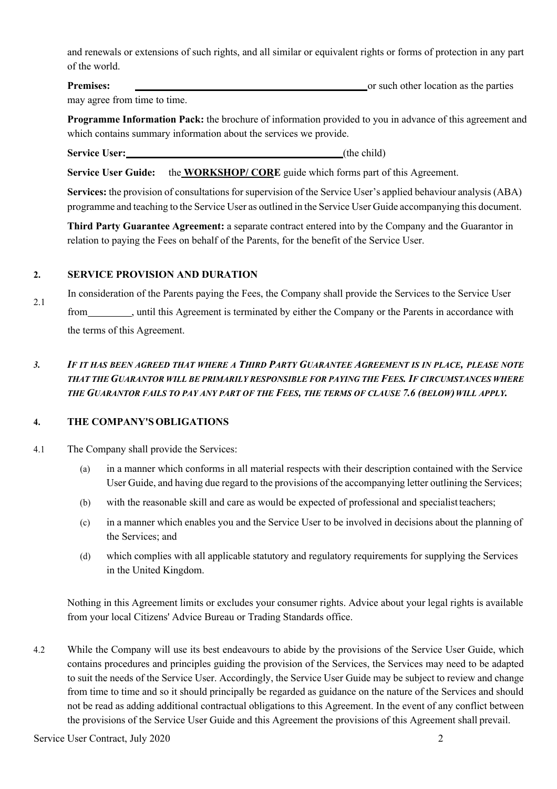and renewals or extensions of such rights, and all similar or equivalent rights or forms of protection in any part of the world.

**Premises:** <u>the parties</u> or such other location as the parties of such other location as the parties

may agree from time to time.

**Programme Information Pack:** the brochure of information provided to you in advance of this agreement and which contains summary information about the services we provide.

**Service** User: (the child)

**Service User Guide:** the **WORKSHOP/ CORE** guide which forms part of this Agreement.

**Services:** the provision of consultations for supervision of the Service User's applied behaviour analysis (ABA) programme and teaching to the Service User as outlined in the Service User Guide accompanying this document.

**Third Party Guarantee Agreement:** a separate contract entered into by the Company and the Guarantor in relation to paying the Fees on behalf of the Parents, for the benefit of the Service User.

#### **2. SERVICE PROVISION AND DURATION**

2.1 In consideration of the Parents paying the Fees, the Company shall provide the Services to the Service User from , until this Agreement is terminated by either the Company or the Parents in accordance with the terms of this Agreement.

# *3. IF IT HAS BEEN AGREED THAT WHERE A THIRD PARTY GUARANTEE AGREEMENT IS IN PLACE, PLEASE NOTE THAT THE GUARANTOR WILL BE PRIMARILY RESPONSIBLE FOR PAYING THE FEES. IF CIRCUMSTANCES WHERE THE GUARANTOR FAILS TO PAY ANY PART OF THE FEES, THE TERMS OF CLAUSE 7.6 (BELOW)WILL APPLY.*

# **4. THE COMPANY'SOBLIGATIONS**

- 4.1 The Company shall provide the Services:
	- (a) in a manner which conforms in all material respects with their description contained with the Service User Guide, and having due regard to the provisions of the accompanying letter outlining the Services;
	- (b) with the reasonable skill and care as would be expected of professional and specialist teachers;
	- (c) in a manner which enables you and the Service User to be involved in decisions about the planning of the Services; and
	- (d) which complies with all applicable statutory and regulatory requirements for supplying the Services in the United Kingdom.

Nothing in this Agreement limits or excludes your consumer rights. Advice about your legal rights is available from your local Citizens' Advice Bureau or Trading Standards office.

4.2 While the Company will use its best endeavours to abide by the provisions of the Service User Guide, which contains procedures and principles guiding the provision of the Services, the Services may need to be adapted to suit the needs of the Service User. Accordingly, the Service User Guide may be subject to review and change from time to time and so it should principally be regarded as guidance on the nature of the Services and should not be read as adding additional contractual obligations to this Agreement. In the event of any conflict between the provisions of the Service User Guide and this Agreement the provisions of this Agreement shall prevail.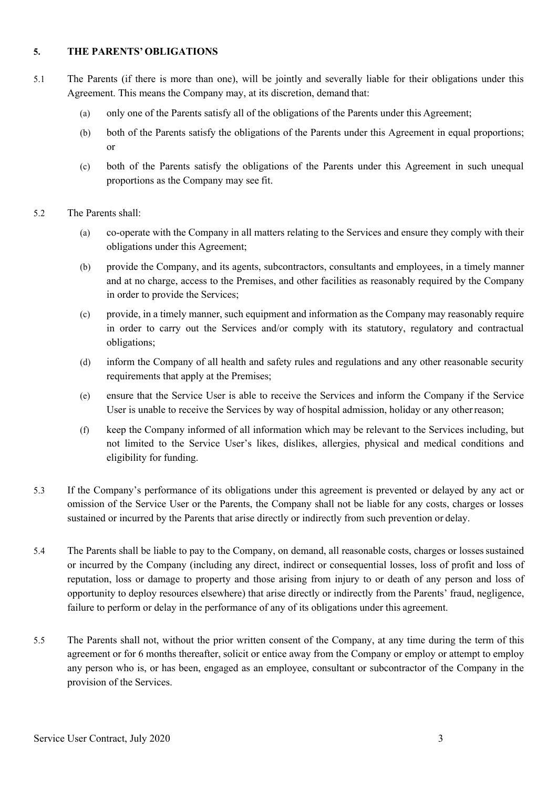# **5. THE PARENTS'OBLIGATIONS**

- 5.1 The Parents (if there is more than one), will be jointly and severally liable for their obligations under this Agreement. This means the Company may, at its discretion, demand that:
	- (a) only one of the Parents satisfy all of the obligations of the Parents under this Agreement;
	- (b) both of the Parents satisfy the obligations of the Parents under this Agreement in equal proportions; or
	- (c) both of the Parents satisfy the obligations of the Parents under this Agreement in such unequal proportions as the Company may see fit.
- 5.2 The Parents shall:
	- (a) co-operate with the Company in all matters relating to the Services and ensure they comply with their obligations under this Agreement;
	- (b) provide the Company, and its agents, subcontractors, consultants and employees, in a timely manner and at no charge, access to the Premises, and other facilities as reasonably required by the Company in order to provide the Services;
	- (c) provide, in a timely manner, such equipment and information as the Company may reasonably require in order to carry out the Services and/or comply with its statutory, regulatory and contractual obligations;
	- (d) inform the Company of all health and safety rules and regulations and any other reasonable security requirements that apply at the Premises;
	- (e) ensure that the Service User is able to receive the Services and inform the Company if the Service User is unable to receive the Services by way of hospital admission, holiday or any otherreason;
	- (f) keep the Company informed of all information which may be relevant to the Services including, but not limited to the Service User's likes, dislikes, allergies, physical and medical conditions and eligibility for funding.
- 5.3 If the Company's performance of its obligations under this agreement is prevented or delayed by any act or omission of the Service User or the Parents, the Company shall not be liable for any costs, charges or losses sustained or incurred by the Parents that arise directly or indirectly from such prevention or delay.
- 5.4 The Parents shall be liable to pay to the Company, on demand, all reasonable costs, charges or lossessustained or incurred by the Company (including any direct, indirect or consequential losses, loss of profit and loss of reputation, loss or damage to property and those arising from injury to or death of any person and loss of opportunity to deploy resources elsewhere) that arise directly or indirectly from the Parents' fraud, negligence, failure to perform or delay in the performance of any of its obligations under this agreement.
- 5.5 The Parents shall not, without the prior written consent of the Company, at any time during the term of this agreement or for 6 months thereafter, solicit or entice away from the Company or employ or attempt to employ any person who is, or has been, engaged as an employee, consultant or subcontractor of the Company in the provision of the Services.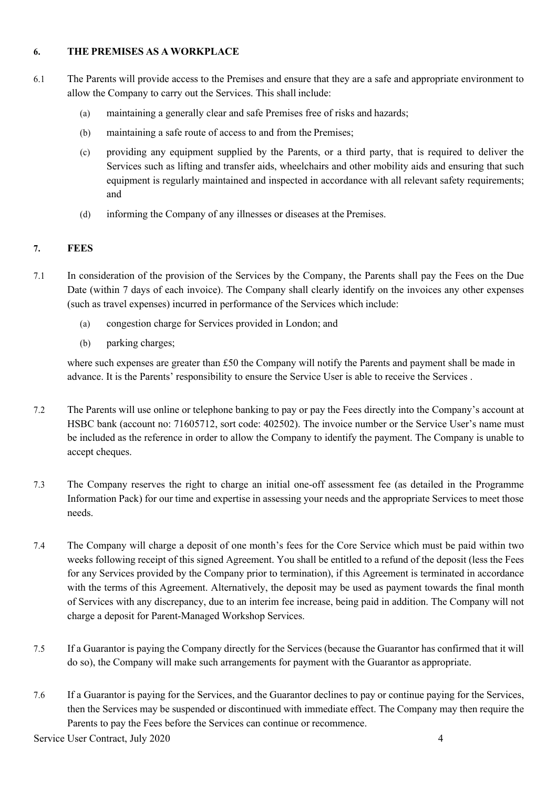# **6. THE PREMISES AS A WORKPLACE**

- 6.1 The Parents will provide access to the Premises and ensure that they are a safe and appropriate environment to allow the Company to carry out the Services. This shall include:
	- (a) maintaining a generally clear and safe Premises free of risks and hazards;
	- (b) maintaining a safe route of access to and from the Premises;
	- (c) providing any equipment supplied by the Parents, or a third party, that is required to deliver the Services such as lifting and transfer aids, wheelchairs and other mobility aids and ensuring that such equipment is regularly maintained and inspected in accordance with all relevant safety requirements; and
	- (d) informing the Company of any illnesses or diseases at the Premises.

# **7. FEES**

- 7.1 In consideration of the provision of the Services by the Company, the Parents shall pay the Fees on the Due Date (within 7 days of each invoice). The Company shall clearly identify on the invoices any other expenses (such as travel expenses) incurred in performance of the Services which include:
	- (a) congestion charge for Services provided in London; and
	- (b) parking charges;

where such expenses are greater than £50 the Company will notify the Parents and payment shall be made in advance. It is the Parents' responsibility to ensure the Service User is able to receive the Services .

- 7.2 The Parents will use online or telephone banking to pay or pay the Fees directly into the Company's account at HSBC bank (account no: 71605712, sort code: 402502). The invoice number or the Service User's name must be included as the reference in order to allow the Company to identify the payment. The Company is unable to accept cheques.
- 7.3 The Company reserves the right to charge an initial one-off assessment fee (as detailed in the Programme Information Pack) for our time and expertise in assessing your needs and the appropriate Services to meet those needs.
- 7.4 The Company will charge a deposit of one month's fees for the Core Service which must be paid within two weeks following receipt of this signed Agreement. You shall be entitled to a refund of the deposit (less the Fees for any Services provided by the Company prior to termination), if this Agreement is terminated in accordance with the terms of this Agreement. Alternatively, the deposit may be used as payment towards the final month of Services with any discrepancy, due to an interim fee increase, being paid in addition. The Company will not charge a deposit for Parent-Managed Workshop Services.
- 7.5 If a Guarantor is paying the Company directly for the Services (because the Guarantor has confirmed that it will do so), the Company will make such arrangements for payment with the Guarantor as appropriate.
- 7.6 If a Guarantor is paying for the Services, and the Guarantor declines to pay or continue paying for the Services, then the Services may be suspended or discontinued with immediate effect. The Company may then require the Parents to pay the Fees before the Services can continue or recommence.

Service User Contract, July 2020 4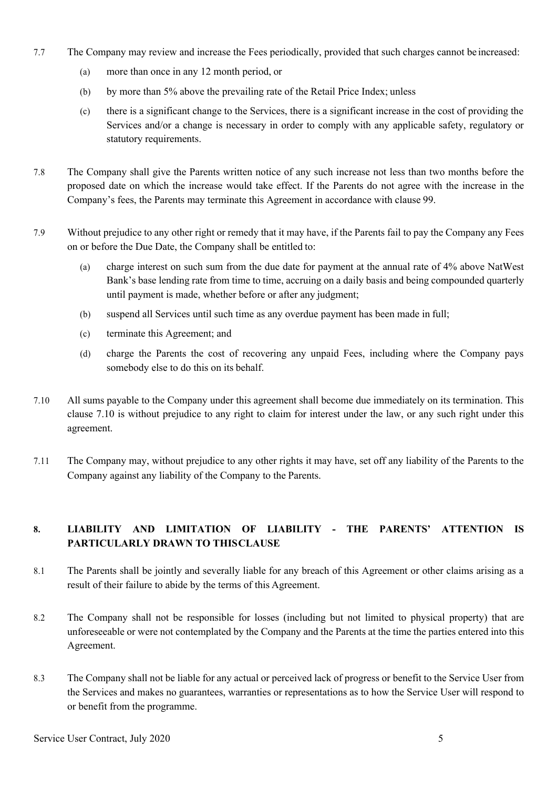- 7.7 The Company may review and increase the Fees periodically, provided that such charges cannot be increased:
	- (a) more than once in any 12 month period, or
	- (b) by more than 5% above the prevailing rate of the Retail Price Index; unless
	- (c) there is a significant change to the Services, there is a significant increase in the cost of providing the Services and/or a change is necessary in order to comply with any applicable safety, regulatory or statutory requirements.
- 7.8 The Company shall give the Parents written notice of any such increase not less than two months before the proposed date on which the increase would take effect. If the Parents do not agree with the increase in the Company's fees, the Parents may terminate this Agreement in accordance with clause 99.
- 7.9 Without prejudice to any other right or remedy that it may have, if the Parents fail to pay the Company any Fees on or before the Due Date, the Company shall be entitled to:
	- (a) charge interest on such sum from the due date for payment at the annual rate of 4% above NatWest Bank's base lending rate from time to time, accruing on a daily basis and being compounded quarterly until payment is made, whether before or after any judgment;
	- (b) suspend all Services until such time as any overdue payment has been made in full;
	- (c) terminate this Agreement; and
	- (d) charge the Parents the cost of recovering any unpaid Fees, including where the Company pays somebody else to do this on its behalf.
- 7.10 All sums payable to the Company under this agreement shall become due immediately on its termination. This clause 7.10 is without prejudice to any right to claim for interest under the law, or any such right under this agreement.
- 7.11 The Company may, without prejudice to any other rights it may have, set off any liability of the Parents to the Company against any liability of the Company to the Parents.

# **8. LIABILITY AND LIMITATION OF LIABILITY - THE PARENTS' ATTENTION IS PARTICULARLY DRAWN TO THISCLAUSE**

- 8.1 The Parents shall be jointly and severally liable for any breach of this Agreement or other claims arising as a result of their failure to abide by the terms of this Agreement.
- 8.2 The Company shall not be responsible for losses (including but not limited to physical property) that are unforeseeable or were not contemplated by the Company and the Parents at the time the parties entered into this Agreement.
- 8.3 The Company shall not be liable for any actual or perceived lack of progress or benefit to the Service User from the Services and makes no guarantees, warranties or representations as to how the Service User will respond to or benefit from the programme.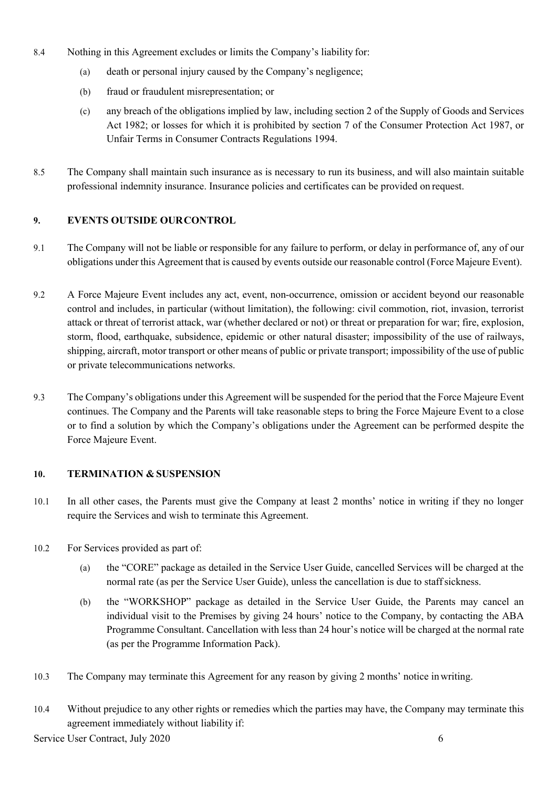- 8.4 Nothing in this Agreement excludes or limits the Company's liability for:
	- (a) death or personal injury caused by the Company's negligence;
	- (b) fraud or fraudulent misrepresentation; or
	- (c) any breach of the obligations implied by law, including section 2 of the Supply of Goods and Services Act 1982; or losses for which it is prohibited by section 7 of the Consumer Protection Act 1987, or Unfair Terms in Consumer Contracts Regulations 1994.
- 8.5 The Company shall maintain such insurance as is necessary to run its business, and will also maintain suitable professional indemnity insurance. Insurance policies and certificates can be provided on request.

# **9. EVENTS OUTSIDE OURCONTROL**

- 9.1 The Company will not be liable or responsible for any failure to perform, or delay in performance of, any of our obligations under this Agreement that is caused by events outside our reasonable control (Force Majeure Event).
- 9.2 A Force Majeure Event includes any act, event, non-occurrence, omission or accident beyond our reasonable control and includes, in particular (without limitation), the following: civil commotion, riot, invasion, terrorist attack or threat of terrorist attack, war (whether declared or not) or threat or preparation for war; fire, explosion, storm, flood, earthquake, subsidence, epidemic or other natural disaster; impossibility of the use of railways, shipping, aircraft, motor transport or other means of public or private transport; impossibility of the use of public or private telecommunications networks.
- 9.3 The Company's obligations under this Agreement will be suspended for the period that the Force Majeure Event continues. The Company and the Parents will take reasonable steps to bring the Force Majeure Event to a close or to find a solution by which the Company's obligations under the Agreement can be performed despite the Force Majeure Event.

# **10. TERMINATION & SUSPENSION**

- 10.1 In all other cases, the Parents must give the Company at least 2 months' notice in writing if they no longer require the Services and wish to terminate this Agreement.
- 10.2 For Services provided as part of:
	- (a) the "CORE" package as detailed in the Service User Guide, cancelled Services will be charged at the normal rate (as per the Service User Guide), unless the cancellation is due to staffsickness.
	- (b) the "WORKSHOP" package as detailed in the Service User Guide, the Parents may cancel an individual visit to the Premises by giving 24 hours' notice to the Company, by contacting the ABA Programme Consultant. Cancellation with less than 24 hour's notice will be charged at the normal rate (as per the Programme Information Pack).
- 10.3 The Company may terminate this Agreement for any reason by giving 2 months' notice inwriting.
- 10.4 Without prejudice to any other rights or remedies which the parties may have, the Company may terminate this agreement immediately without liability if:

Service User Contract, July 2020 6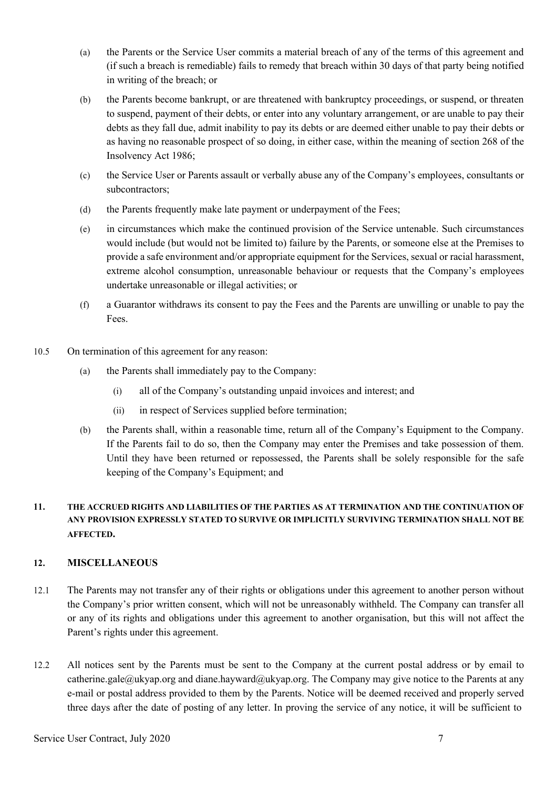- (a) the Parents or the Service User commits a material breach of any of the terms of this agreement and (if such a breach is remediable) fails to remedy that breach within 30 days of that party being notified in writing of the breach; or
- (b) the Parents become bankrupt, or are threatened with bankruptcy proceedings, or suspend, or threaten to suspend, payment of their debts, or enter into any voluntary arrangement, or are unable to pay their debts as they fall due, admit inability to pay its debts or are deemed either unable to pay their debts or as having no reasonable prospect of so doing, in either case, within the meaning of section 268 of the Insolvency Act 1986;
- (c) the Service User or Parents assault or verbally abuse any of the Company's employees, consultants or subcontractors;
- (d) the Parents frequently make late payment or underpayment of the Fees;
- (e) in circumstances which make the continued provision of the Service untenable. Such circumstances would include (but would not be limited to) failure by the Parents, or someone else at the Premises to provide a safe environment and/or appropriate equipment for the Services, sexual or racial harassment, extreme alcohol consumption, unreasonable behaviour or requests that the Company's employees undertake unreasonable or illegal activities; or
- (f) a Guarantor withdraws its consent to pay the Fees and the Parents are unwilling or unable to pay the Fees.
- 10.5 On termination of this agreement for any reason:
	- (a) the Parents shall immediately pay to the Company:
		- (i) all of the Company's outstanding unpaid invoices and interest; and
		- (ii) in respect of Services supplied before termination;
	- (b) the Parents shall, within a reasonable time, return all of the Company's Equipment to the Company. If the Parents fail to do so, then the Company may enter the Premises and take possession of them. Until they have been returned or repossessed, the Parents shall be solely responsible for the safe keeping of the Company's Equipment; and

# **11. THE ACCRUED RIGHTS AND LIABILITIES OF THE PARTIES AS AT TERMINATION AND THE CONTINUATION OF ANY PROVISION EXPRESSLY STATED TO SURVIVE OR IMPLICITLY SURVIVING TERMINATION SHALL NOT BE AFFECTED.**

# **12. MISCELLANEOUS**

- 12.1 The Parents may not transfer any of their rights or obligations under this agreement to another person without the Company's prior written consent, which will not be unreasonably withheld. The Company can transfer all or any of its rights and obligations under this agreement to another organisation, but this will not affect the Parent's rights under this agreement.
- 12.2 All notices sent by the Parents must be sent to the Company at the current postal address or by email to catherine.gale@ukyap.org and diane.hayward@ukyap.org. The Company may give notice to the Parents at any e-mail or postal address provided to them by the Parents. Notice will be deemed received and properly served three days after the date of posting of any letter. In proving the service of any notice, it will be sufficient to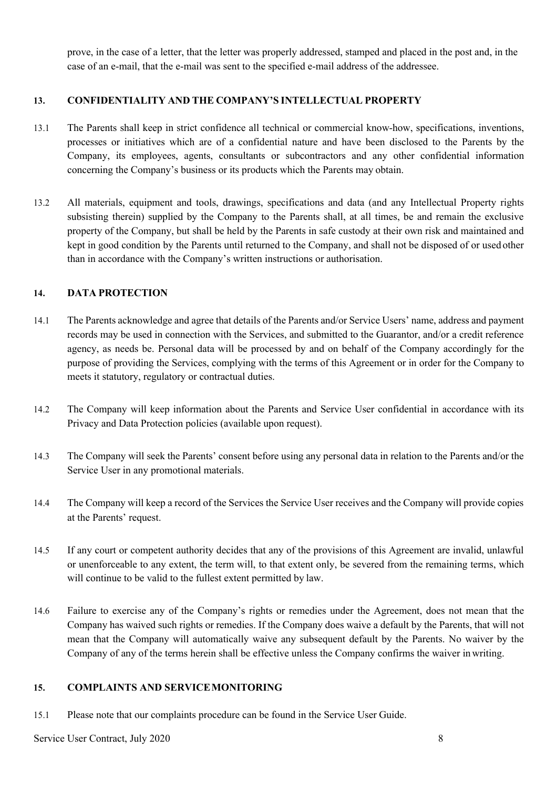prove, in the case of a letter, that the letter was properly addressed, stamped and placed in the post and, in the case of an e-mail, that the e-mail was sent to the specified e-mail address of the addressee.

# **13. CONFIDENTIALITY AND THE COMPANY'S INTELLECTUAL PROPERTY**

- 13.1 The Parents shall keep in strict confidence all technical or commercial know-how, specifications, inventions, processes or initiatives which are of a confidential nature and have been disclosed to the Parents by the Company, its employees, agents, consultants or subcontractors and any other confidential information concerning the Company's business or its products which the Parents may obtain.
- 13.2 All materials, equipment and tools, drawings, specifications and data (and any Intellectual Property rights subsisting therein) supplied by the Company to the Parents shall, at all times, be and remain the exclusive property of the Company, but shall be held by the Parents in safe custody at their own risk and maintained and kept in good condition by the Parents until returned to the Company, and shall not be disposed of or used other than in accordance with the Company's written instructions or authorisation.

# **14. DATA PROTECTION**

- 14.1 The Parents acknowledge and agree that details of the Parents and/or Service Users' name, address and payment records may be used in connection with the Services, and submitted to the Guarantor, and/or a credit reference agency, as needs be. Personal data will be processed by and on behalf of the Company accordingly for the purpose of providing the Services, complying with the terms of this Agreement or in order for the Company to meets it statutory, regulatory or contractual duties.
- 14.2 The Company will keep information about the Parents and Service User confidential in accordance with its Privacy and Data Protection policies (available upon request).
- 14.3 The Company will seek the Parents' consent before using any personal data in relation to the Parents and/or the Service User in any promotional materials.
- 14.4 The Company will keep a record of the Services the Service User receives and the Company will provide copies at the Parents' request.
- 14.5 If any court or competent authority decides that any of the provisions of this Agreement are invalid, unlawful or unenforceable to any extent, the term will, to that extent only, be severed from the remaining terms, which will continue to be valid to the fullest extent permitted by law.
- 14.6 Failure to exercise any of the Company's rights or remedies under the Agreement, does not mean that the Company has waived such rights or remedies. If the Company does waive a default by the Parents, that will not mean that the Company will automatically waive any subsequent default by the Parents. No waiver by the Company of any of the terms herein shall be effective unless the Company confirms the waiver inwriting.

# **15. COMPLAINTS AND SERVICEMONITORING**

15.1 Please note that our complaints procedure can be found in the Service User Guide.

Service User Contract, July 2020 8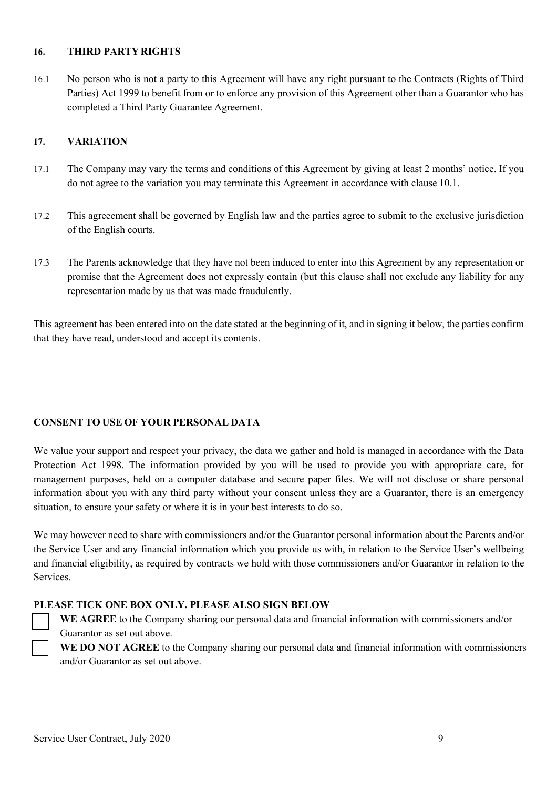# **16. THIRD PARTYRIGHTS**

16.1 No person who is not a party to this Agreement will have any right pursuant to the Contracts (Rights of Third Parties) Act 1999 to benefit from or to enforce any provision of this Agreement other than a Guarantor who has completed a Third Party Guarantee Agreement.

# **17. VARIATION**

- 17.1 The Company may vary the terms and conditions of this Agreement by giving at least 2 months' notice. If you do not agree to the variation you may terminate this Agreement in accordance with clause 10.1.
- 17.2 This agreeement shall be governed by English law and the parties agree to submit to the exclusive jurisdiction of the English courts.
- 17.3 The Parents acknowledge that they have not been induced to enter into this Agreement by any representation or promise that the Agreement does not expressly contain (but this clause shall not exclude any liability for any representation made by us that was made fraudulently.

This agreement has been entered into on the date stated at the beginning of it, and in signing it below, the parties confirm that they have read, understood and accept its contents.

# **CONSENT TO USE OF YOUR PERSONAL DATA**

We value your support and respect your privacy, the data we gather and hold is managed in accordance with the Data Protection Act 1998. The information provided by you will be used to provide you with appropriate care, for management purposes, held on a computer database and secure paper files. We will not disclose or share personal information about you with any third party without your consent unless they are a Guarantor, there is an emergency situation, to ensure your safety or where it is in your best interests to do so.

We may however need to share with commissioners and/or the Guarantor personal information about the Parents and/or the Service User and any financial information which you provide us with, in relation to the Service User's wellbeing and financial eligibility, as required by contracts we hold with those commissioners and/or Guarantor in relation to the **Services** 

### **PLEASE TICK ONE BOX ONLY. PLEASE ALSO SIGN BELOW**

**WE AGREE** to the Company sharing our personal data and financial information with commissioners and/or Guarantor as set out above.

**WE DO NOT AGREE** to the Company sharing our personal data and financial information with commissioners and/or Guarantor as set out above.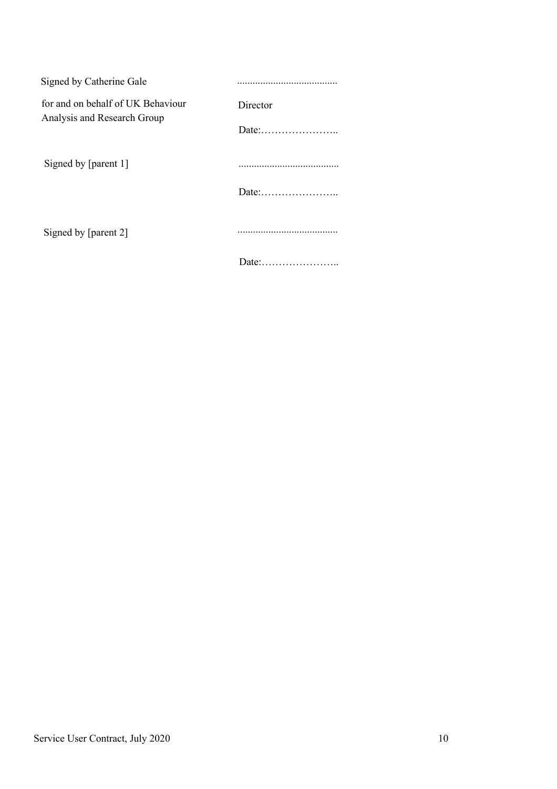| Signed by Catherine Gale                                         |          |
|------------------------------------------------------------------|----------|
| for and on behalf of UK Behaviour<br>Analysis and Research Group | Director |
|                                                                  |          |
| Signed by [parent 1]                                             |          |
|                                                                  |          |
| Signed by [parent 2]                                             |          |
|                                                                  |          |